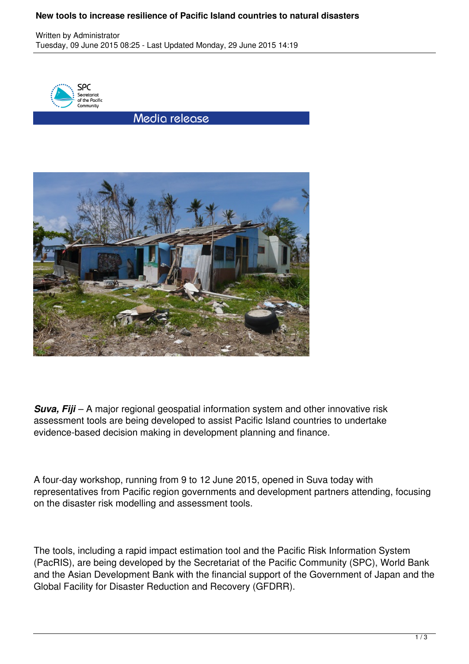## **New tools to increase resilience of Pacific Island countries to natural disasters**

Written by Administrator Tuesday, 09 June 2015 08:25 - Last Updated Monday, 29 June 2015 14:19



Media release



*Suva, Fiji* – A major regional geospatial information system and other innovative risk assessment tools are being developed to assist Pacific Island countries to undertake evidence-based decision making in development planning and finance.

A four-day workshop, running from 9 to 12 June 2015, opened in Suva today with representatives from Pacific region governments and development partners attending, focusing on the disaster risk modelling and assessment tools.

The tools, including a rapid impact estimation tool and the Pacific Risk Information System (PacRIS), are being developed by the Secretariat of the Pacific Community (SPC), World Bank and the Asian Development Bank with the financial support of the Government of Japan and the Global Facility for Disaster Reduction and Recovery (GFDRR).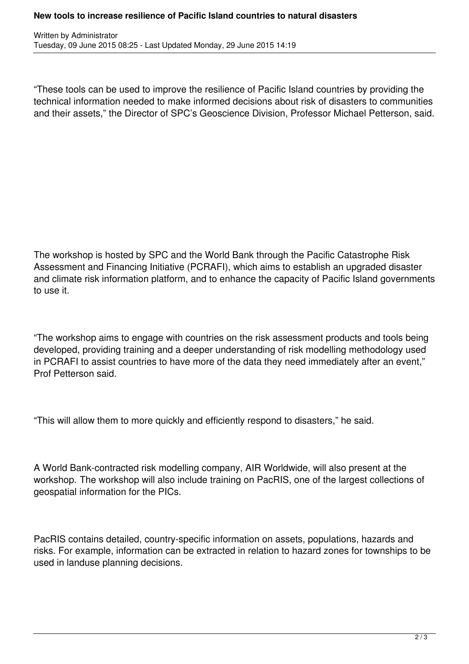## **New tools to increase resilience of Pacific Island countries to natural disasters**

"These tools can be used to improve the resilience of Pacific Island countries by providing the technical information needed to make informed decisions about risk of disasters to communities and their assets," the Director of SPC's Geoscience Division, Professor Michael Petterson, said.

The workshop is hosted by SPC and the World Bank through the Pacific Catastrophe Risk Assessment and Financing Initiative (PCRAFI), which aims to establish an upgraded disaster and climate risk information platform, and to enhance the capacity of Pacific Island governments to use it.

"The workshop aims to engage with countries on the risk assessment products and tools being developed, providing training and a deeper understanding of risk modelling methodology used in PCRAFI to assist countries to have more of the data they need immediately after an event," Prof Petterson said.

"This will allow them to more quickly and efficiently respond to disasters," he said.

A World Bank-contracted risk modelling company, AIR Worldwide, will also present at the workshop. The workshop will also include training on PacRIS, one of the largest collections of geospatial information for the PICs.

PacRIS contains detailed, country-specific information on assets, populations, hazards and risks. For example, information can be extracted in relation to hazard zones for townships to be used in landuse planning decisions.